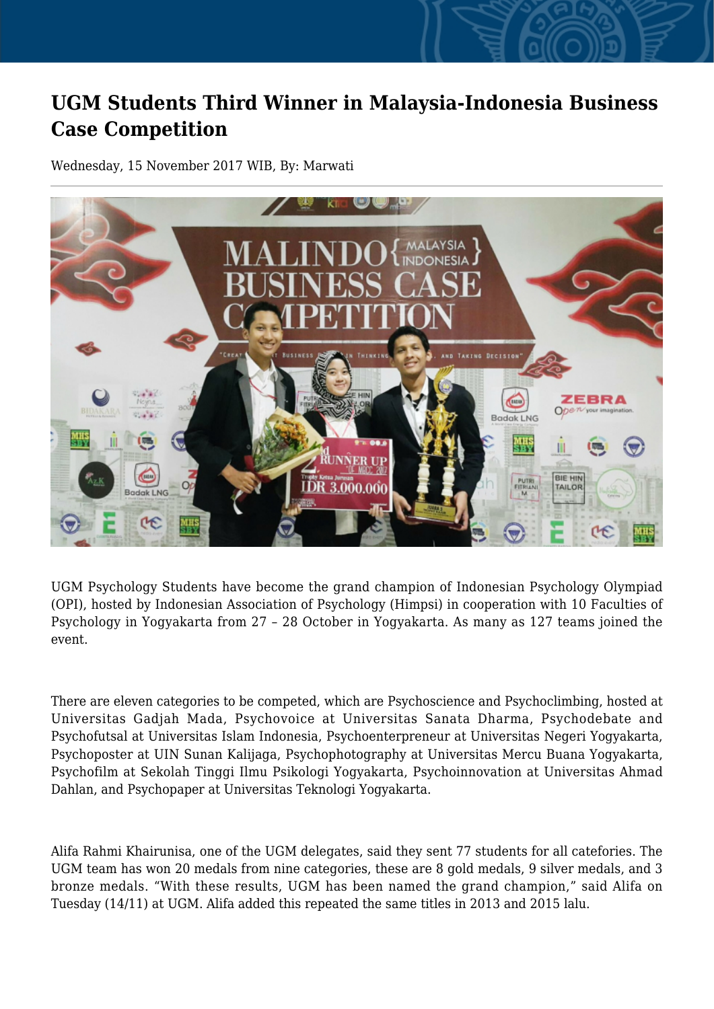## **UGM Students Third Winner in Malaysia-Indonesia Business Case Competition**

Wednesday, 15 November 2017 WIB, By: Marwati



UGM Psychology Students have become the grand champion of Indonesian Psychology Olympiad (OPI), hosted by Indonesian Association of Psychology (Himpsi) in cooperation with 10 Faculties of Psychology in Yogyakarta from 27 – 28 October in Yogyakarta. As many as 127 teams joined the event.

There are eleven categories to be competed, which are Psychoscience and Psychoclimbing, hosted at Universitas Gadjah Mada, Psychovoice at Universitas Sanata Dharma, Psychodebate and Psychofutsal at Universitas Islam Indonesia, Psychoenterpreneur at Universitas Negeri Yogyakarta, Psychoposter at UIN Sunan Kalijaga, Psychophotography at Universitas Mercu Buana Yogyakarta, Psychofilm at Sekolah Tinggi Ilmu Psikologi Yogyakarta, Psychoinnovation at Universitas Ahmad Dahlan, and Psychopaper at Universitas Teknologi Yogyakarta.

Alifa Rahmi Khairunisa, one of the UGM delegates, said they sent 77 students for all catefories. The UGM team has won 20 medals from nine categories, these are 8 gold medals, 9 silver medals, and 3 bronze medals. "With these results, UGM has been named the grand champion," said Alifa on Tuesday (14/11) at UGM. Alifa added this repeated the same titles in 2013 and 2015 lalu.